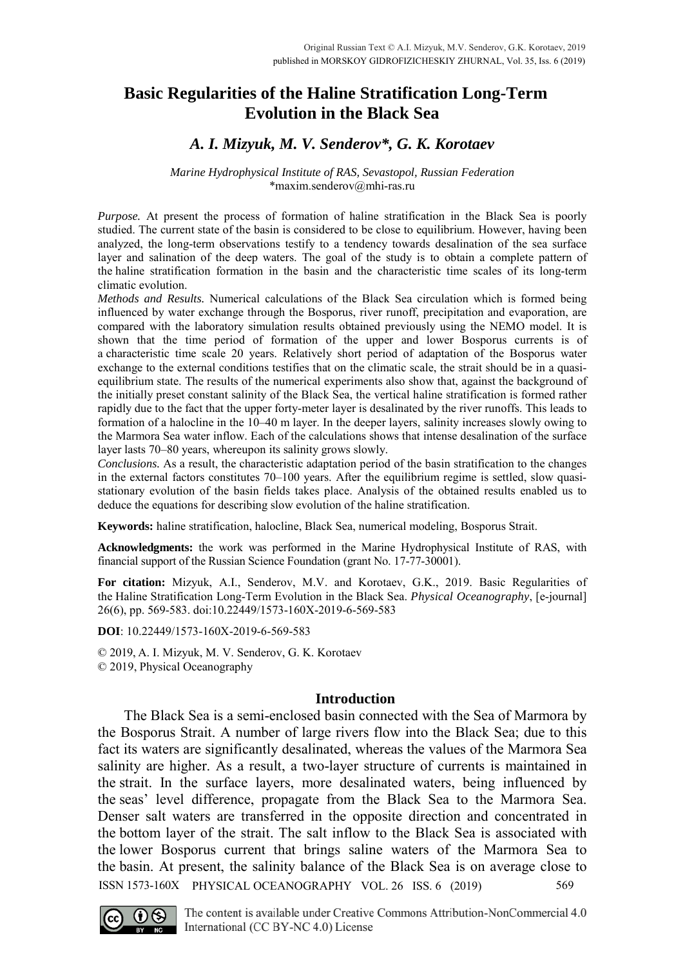# **Basic Regularities of the Haline Stratification Long-Term Evolution in the Black Sea**

## *A. I. Mizyuk, M. V. Senderov\*, G. K. Korotaev*

#### *Marine Hydrophysical Institute of RAS, Sevastopol, Russian Federation* \*maxim.senderov@mhi-ras.ru

*Purpose.* At present the process of formation of haline stratification in the Black Sea is poorly studied. The current state of the basin is considered to be close to equilibrium. However, having been analyzed, the long-term observations testify to a tendency towards desalination of the sea surface layer and salination of the deep waters. The goal of the study is to obtain a complete pattern of the haline stratification formation in the basin and the characteristic time scales of its long-term climatic evolution.

*Methods and Results.* Numerical calculations of the Black Sea circulation which is formed being influenced by water exchange through the Bosporus, river runoff, precipitation and evaporation, are compared with the laboratory simulation results obtained previously using the NEMO model. It is shown that the time period of formation of the upper and lower Bosporus currents is of a characteristic time scale 20 years. Relatively short period of adaptation of the Bosporus water exchange to the external conditions testifies that on the climatic scale, the strait should be in a quasiequilibrium state. The results of the numerical experiments also show that, against the background of the initially preset constant salinity of the Black Sea, the vertical haline stratification is formed rather rapidly due to the fact that the upper forty-meter layer is desalinated by the river runoffs. This leads to formation of a halocline in the 10–40 m layer. In the deeper layers, salinity increases slowly owing to the Marmora Sea water inflow. Each of the calculations shows that intense desalination of the surface layer lasts 70–80 years, whereupon its salinity grows slowly.

*Conclusions.* As a result, the characteristic adaptation period of the basin stratification to the changes in the external factors constitutes 70–100 years. After the equilibrium regime is settled, slow quasistationary evolution of the basin fields takes place. Analysis of the obtained results enabled us to deduce the equations for describing slow evolution of the haline stratification.

**Keywords:** haline stratification, halocline, Black Sea, numerical modeling, Bosporus Strait.

**Acknowledgments:** the work was performed in the Marine Hydrophysical Institute of RAS, with financial support of the Russian Science Foundation (grant No. 17-77-30001).

**For citation:** Mizyuk, A.I., Senderov, M.V. and Korotaev, G.K., 2019. Basic Regularities of the Haline Stratification Long-Term Evolution in the Black Sea. *Physical Oceanography*, [e-journal] 26(6), pp. 569-583. doi:10.22449/1573-160X-2019-6-569-583

**DOI**: 10.22449/1573-160X-2019-6-569-583

© 2019, A. I. Mizyuk, M. V. Senderov, G. K. Korotaev © 2019, Physical Oceanography

### **Introduction**

The Black Sea is a semi-enclosed basin connected with the Sea of Marmora by the Bosporus Strait. A number of large rivers flow into the Black Sea; due to this fact its waters are significantly desalinated, whereas the values of the Marmora Sea salinity are higher. As a result, a two-layer structure of currents is maintained in the strait. In the surface layers, more desalinated waters, being influenced by the seas' level difference, propagate from the Black Sea to the Marmora Sea. Denser salt waters are transferred in the opposite direction and concentrated in the bottom layer of the strait. The salt inflow to the Black Sea is associated with the lower Bosporus current that brings saline waters of the Marmora Sea to the basin. At present, the salinity balance of the Black Sea is on average close to ISSN 1573-160X PHYSICAL OCEANOGRAPHY VOL. 26 ISS. 6 (2019) 569



The content is available under Creative Commons Attribution-NonCommercial 4.0 International (CC BY-NC 4.0) License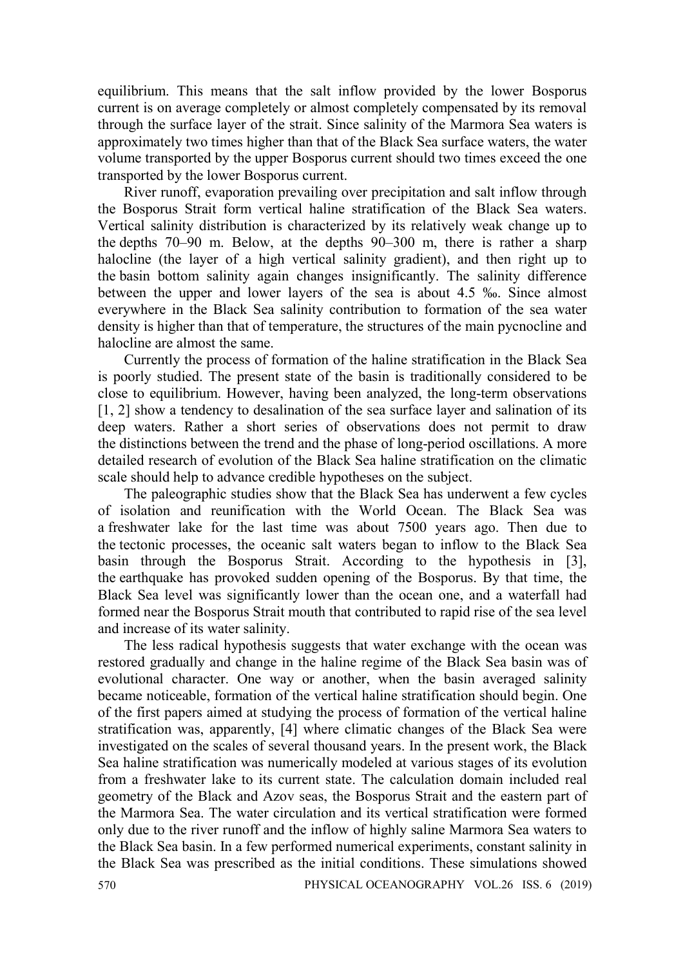equilibrium. This means that the salt inflow provided by the lower Bosporus current is on average completely or almost completely compensated by its removal through the surface layer of the strait. Since salinity of the Marmora Sea waters is approximately two times higher than that of the Black Sea surface waters, the water volume transported by the upper Bosporus current should two times exceed the one transported by the lower Bosporus current.

River runoff, evaporation prevailing over precipitation and salt inflow through the Bosporus Strait form vertical haline stratification of the Black Sea waters. Vertical salinity distribution is characterized by its relatively weak change up to the depths 70–90 m. Below, at the depths 90–300 m, there is rather a sharp halocline (the layer of a high vertical salinity gradient), and then right up to the basin bottom salinity again changes insignificantly. The salinity difference between the upper and lower layers of the sea is about 4.5 ‰. Since almost everywhere in the Black Sea salinity contribution to formation of the sea water density is higher than that of temperature, the structures of the main pycnocline and halocline are almost the same.

Currently the process of formation of the haline stratification in the Black Sea is poorly studied. The present state of the basin is traditionally considered to be close to equilibrium. However, having been analyzed, the long-term observations [1, 2] show a tendency to desalination of the sea surface layer and salination of its deep waters. Rather a short series of observations does not permit to draw the distinctions between the trend and the phase of long-period oscillations. A more detailed research of evolution of the Black Sea haline stratification on the climatic scale should help to advance credible hypotheses on the subject.

The paleographic studies show that the Black Sea has underwent a few cycles of isolation and reunification with the World Ocean. The Black Sea was a freshwater lake for the last time was about 7500 years ago. Then due to the tectonic processes, the oceanic salt waters began to inflow to the Black Sea basin through the Bosporus Strait. According to the hypothesis in [3], the earthquake has provoked sudden opening of the Bosporus. By that time, the Black Sea level was significantly lower than the ocean one, and a waterfall had formed near the Bosporus Strait mouth that contributed to rapid rise of the sea level and increase of its water salinity.

The less radical hypothesis suggests that water exchange with the ocean was restored gradually and change in the haline regime of the Black Sea basin was of evolutional character. One way or another, when the basin averaged salinity became noticeable, formation of the vertical haline stratification should begin. One of the first papers aimed at studying the process of formation of the vertical haline stratification was, apparently, [4] where climatic changes of the Black Sea were investigated on the scales of several thousand years. In the present work, the Black Sea haline stratification was numerically modeled at various stages of its evolution from a freshwater lake to its current state. The calculation domain included real geometry of the Black and Azov seas, the Bosporus Strait and the eastern part of the Marmora Sea. The water circulation and its vertical stratification were formed only due to the river runoff and the inflow of highly saline Marmora Sea waters to the Black Sea basin. In a few performed numerical experiments, constant salinity in the Black Sea was prescribed as the initial conditions. These simulations showed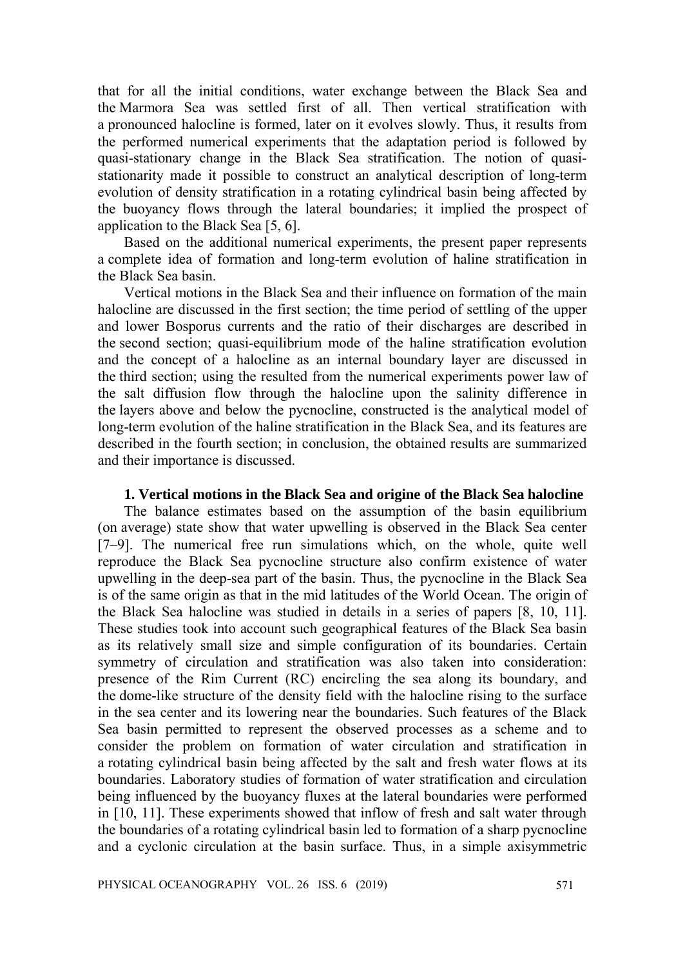that for all the initial conditions, water exchange between the Black Sea and the Marmora Sea was settled first of all. Then vertical stratification with a pronounced halocline is formed, later on it evolves slowly. Thus, it results from the performed numerical experiments that the adaptation period is followed by quasi-stationary change in the Black Sea stratification. The notion of quasistationarity made it possible to construct an analytical description of long-term evolution of density stratification in a rotating cylindrical basin being affected by the buoyancy flows through the lateral boundaries; it implied the prospect of application to the Black Sea [5, 6].

Based on the additional numerical experiments, the present paper represents a complete idea of formation and long-term evolution of haline stratification in the Black Sea basin.

Vertical motions in the Black Sea and their influence on formation of the main halocline are discussed in the first section; the time period of settling of the upper and lower Bosporus currents and the ratio of their discharges are described in the second section; quasi-equilibrium mode of the haline stratification evolution and the concept of a halocline as an internal boundary layer are discussed in the third section; using the resulted from the numerical experiments power law of the salt diffusion flow through the halocline upon the salinity difference in the layers above and below the pycnocline, constructed is the analytical model of long-term evolution of the haline stratification in the Black Sea, and its features are described in the fourth section; in conclusion, the obtained results are summarized and their importance is discussed.

### **1. Vertical motions in the Black Sea and origine of the Black Sea halocline**

The balance estimates based on the assumption of the basin equilibrium (on average) state show that water upwelling is observed in the Black Sea center [7–9]. The numerical free run simulations which, on the whole, quite well reproduce the Black Sea pycnocline structure also confirm existence of water upwelling in the deep-sea part of the basin. Thus, the pycnocline in the Black Sea is of the same origin as that in the mid latitudes of the World Ocean. The origin of the Black Sea halocline was studied in details in a series of papers [8, 10, 11]. These studies took into account such geographical features of the Black Sea basin as its relatively small size and simple configuration of its boundaries. Certain symmetry of circulation and stratification was also taken into consideration: presence of the Rim Current (RC) encircling the sea along its boundary, and the dome-like structure of the density field with the halocline rising to the surface in the sea center and its lowering near the boundaries. Such features of the Black Sea basin permitted to represent the observed processes as a scheme and to consider the problem on formation of water circulation and stratification in a rotating cylindrical basin being affected by the salt and fresh water flows at its boundaries. Laboratory studies of formation of water stratification and circulation being influenced by the buoyancy fluxes at the lateral boundaries were performed in [10, 11]. These experiments showed that inflow of fresh and salt water through the boundaries of a rotating cylindrical basin led to formation of a sharp pycnocline and a cyclonic circulation at the basin surface. Thus, in a simple axisymmetric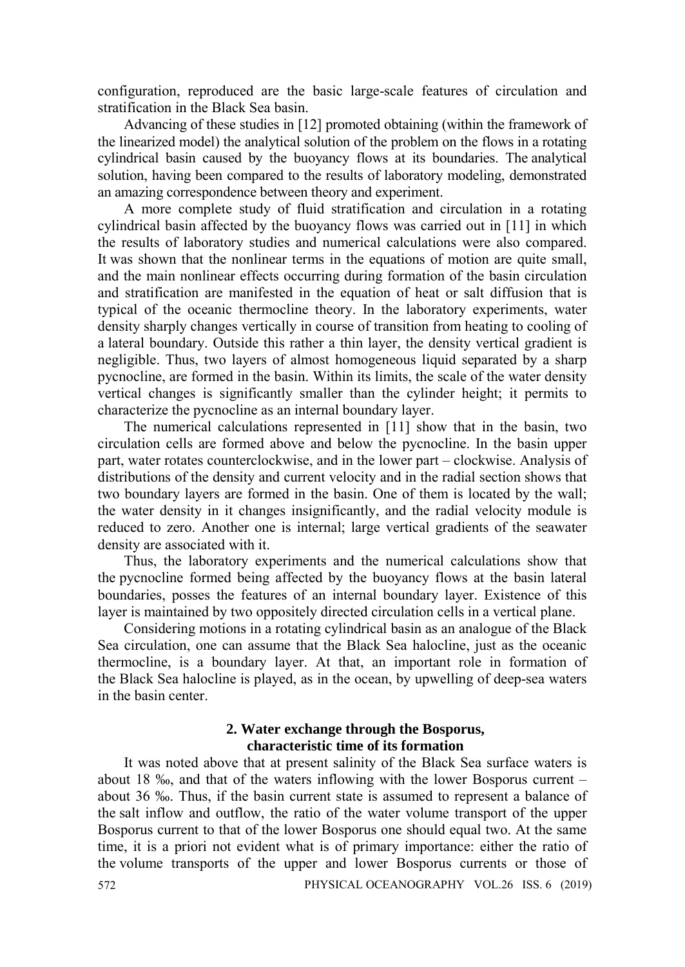configuration, reproduced are the basic large-scale features of circulation and stratification in the Black Sea basin.

Advancing of these studies in [12] promoted obtaining (within the framework of the linearized model) the analytical solution of the problem on the flows in a rotating cylindrical basin caused by the buoyancy flows at its boundaries. The analytical solution, having been compared to the results of laboratory modeling, demonstrated an amazing correspondence between theory and experiment.

A more complete study of fluid stratification and circulation in a rotating cylindrical basin affected by the buoyancy flows was carried out in [11] in which the results of laboratory studies and numerical calculations were also compared. It was shown that the nonlinear terms in the equations of motion are quite small, and the main nonlinear effects occurring during formation of the basin circulation and stratification are manifested in the equation of heat or salt diffusion that is typical of the oceanic thermocline theory. In the laboratory experiments, water density sharply changes vertically in course of transition from heating to cooling of a lateral boundary. Outside this rather a thin layer, the density vertical gradient is negligible. Thus, two layers of almost homogeneous liquid separated by a sharp pycnocline, are formed in the basin. Within its limits, the scale of the water density vertical changes is significantly smaller than the cylinder height; it permits to characterize the pycnocline as an internal boundary layer.

The numerical calculations represented in [11] show that in the basin, two circulation cells are formed above and below the pycnocline. In the basin upper part, water rotates counterclockwise, and in the lower part – clockwise. Analysis of distributions of the density and current velocity and in the radial section shows that two boundary layers are formed in the basin. One of them is located by the wall; the water density in it changes insignificantly, and the radial velocity module is reduced to zero. Another one is internal; large vertical gradients of the seawater density are associated with it.

Thus, the laboratory experiments and the numerical calculations show that the pycnocline formed being affected by the buoyancy flows at the basin lateral boundaries, posses the features of an internal boundary layer. Existence of this layer is maintained by two oppositely directed circulation cells in a vertical plane.

Considering motions in a rotating cylindrical basin as an analogue of the Black Sea circulation, one can assume that the Black Sea halocline, just as the oceanic thermocline, is a boundary layer. At that, an important role in formation of the Black Sea halocline is played, as in the ocean, by upwelling of deep-sea waters in the basin center.

### **2. Water exchange through the Bosporus, characteristic time of its formation**

It was noted above that at present salinity of the Black Sea surface waters is about 18 ‰, and that of the waters inflowing with the lower Bosporus current – about 36 ‰. Thus, if the basin current state is assumed to represent a balance of the salt inflow and outflow, the ratio of the water volume transport of the upper Bosporus current to that of the lower Bosporus one should equal two. At the same time, it is a priori not evident what is of primary importance: either the ratio of the volume transports of the upper and lower Bosporus currents or those of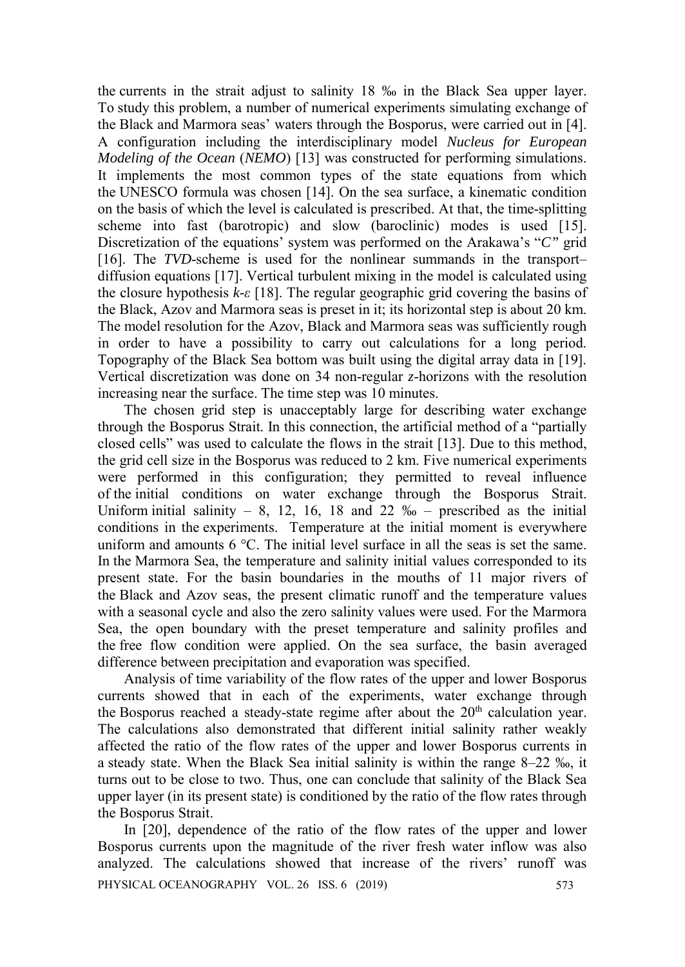the currents in the strait adjust to salinity 18 ‰ in the Black Sea upper layer. To study this problem, a number of numerical experiments simulating exchange of the Black and Marmora seas' waters through the Bosporus, were carried out in [4]. A configuration including the interdisciplinary model *Nucleus for European Modeling of the Ocean (NEMO)* [13] was constructed for performing simulations. It implements the most common types of the state equations from which the UNESCO formula was chosen [14]. On the sea surface, a kinematic condition on the basis of which the level is calculated is prescribed. At that, the time-splitting scheme into fast (barotropic) and slow (baroclinic) modes is used [15]. Discretization of the equations' system was performed on the Arakawa's "*C"* grid [16]. The *TVD*-scheme is used for the nonlinear summands in the transport– diffusion equations [17]. Vertical turbulent mixing in the model is calculated using the closure hypothesis  $k-\epsilon$  [18]. The regular geographic grid covering the basins of the Black, Azov and Marmora seas is preset in it; its horizontal step is about 20 km. The model resolution for the Azov, Black and Marmora seas was sufficiently rough in order to have a possibility to carry out calculations for a long period. Topography of the Black Sea bottom was built using the digital array data in [19]. Vertical discretization was done on 34 non-regular *z*-horizons with the resolution increasing near the surface. The time step was 10 minutes.

The chosen grid step is unacceptably large for describing water exchange through the Bosporus Strait. In this connection, the artificial method of a "partially closed cells" was used to calculate the flows in the strait [13]. Due to this method, the grid cell size in the Bosporus was reduced to 2 km. Five numerical experiments were performed in this configuration; they permitted to reveal influence of the initial conditions on water exchange through the Bosporus Strait. Uniform initial salinity – 8, 12, 16, 18 and 22  $\%$  – prescribed as the initial conditions in the experiments. Temperature at the initial moment is everywhere uniform and amounts  $6^{\circ}$ C. The initial level surface in all the seas is set the same. In the Marmora Sea, the temperature and salinity initial values corresponded to its present state. For the basin boundaries in the mouths of 11 major rivers of the Black and Azov seas, the present climatic runoff and the temperature values with a seasonal cycle and also the zero salinity values were used. For the Marmora Sea, the open boundary with the preset temperature and salinity profiles and the free flow condition were applied. On the sea surface, the basin averaged difference between precipitation and evaporation was specified.

Analysis of time variability of the flow rates of the upper and lower Bosporus currents showed that in each of the experiments, water exchange through the Bosporus reached a steady-state regime after about the  $20<sup>th</sup>$  calculation year. The calculations also demonstrated that different initial salinity rather weakly affected the ratio of the flow rates of the upper and lower Bosporus currents in a steady state. When the Black Sea initial salinity is within the range 8–22 ‰, it turns out to be close to two. Thus, one can conclude that salinity of the Black Sea upper layer (in its present state) is conditioned by the ratio of the flow rates through the Bosporus Strait.

In [20], dependence of the ratio of the flow rates of the upper and lower Bosporus currents upon the magnitude of the river fresh water inflow was also analyzed. The calculations showed that increase of the rivers' runoff was PHYSICAL OCEANOGRAPHY VOL. 26 ISS. 6 (2019) 573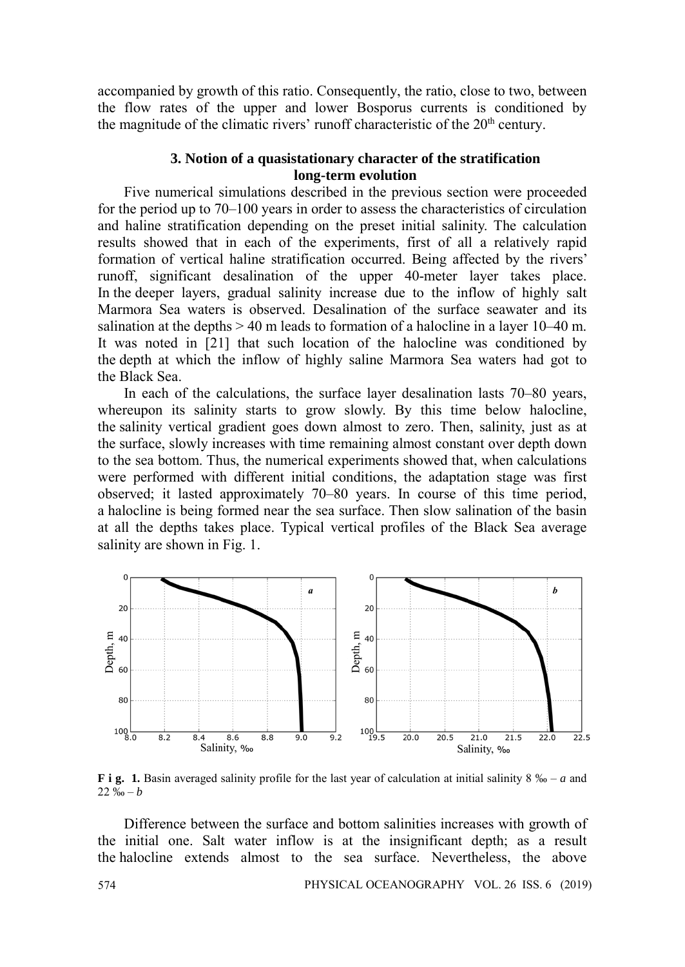accompanied by growth of this ratio. Consequently, the ratio, close to two, between the flow rates of the upper and lower Bosporus currents is conditioned by the magnitude of the climatic rivers' runoff characteristic of the 20<sup>th</sup> century.

### **3. Notion of a quasistationary character of the stratification long-term evolution**

Five numerical simulations described in the previous section were proceeded for the period up to 70–100 years in order to assess the characteristics of circulation and haline stratification depending on the preset initial salinity. The calculation results showed that in each of the experiments, first of all a relatively rapid formation of vertical haline stratification occurred. Being affected by the rivers' runoff, significant desalination of the upper 40-meter layer takes place. In the deeper layers, gradual salinity increase due to the inflow of highly salt Marmora Sea waters is observed. Desalination of the surface seawater and its salination at the depths  $> 40$  m leads to formation of a halocline in a layer 10–40 m. It was noted in [21] that such location of the halocline was conditioned by the depth at which the inflow of highly saline Marmora Sea waters had got to the Black Sea.

In each of the calculations, the surface layer desalination lasts 70–80 years, whereupon its salinity starts to grow slowly. By this time below halocline, the salinity vertical gradient goes down almost to zero. Then, salinity, just as at the surface, slowly increases with time remaining almost constant over depth down to the sea bottom. Thus, the numerical experiments showed that, when calculations were performed with different initial conditions, the adaptation stage was first observed; it lasted approximately 70–80 years. In course of this time period, a halocline is being formed near the sea surface. Then slow salination of the basin at all the depths takes place. Typical vertical profiles of the Black Sea average salinity are shown in Fig. 1.



**F i g. 1.** Basin averaged salinity profile for the last year of calculation at initial salinity 8 ‰ – *a* and 22 ‰ – *b*

Difference between the surface and bottom salinities increases with growth of the initial one. Salt water inflow is at the insignificant depth; as a result the halocline extends almost to the sea surface. Nevertheless, the above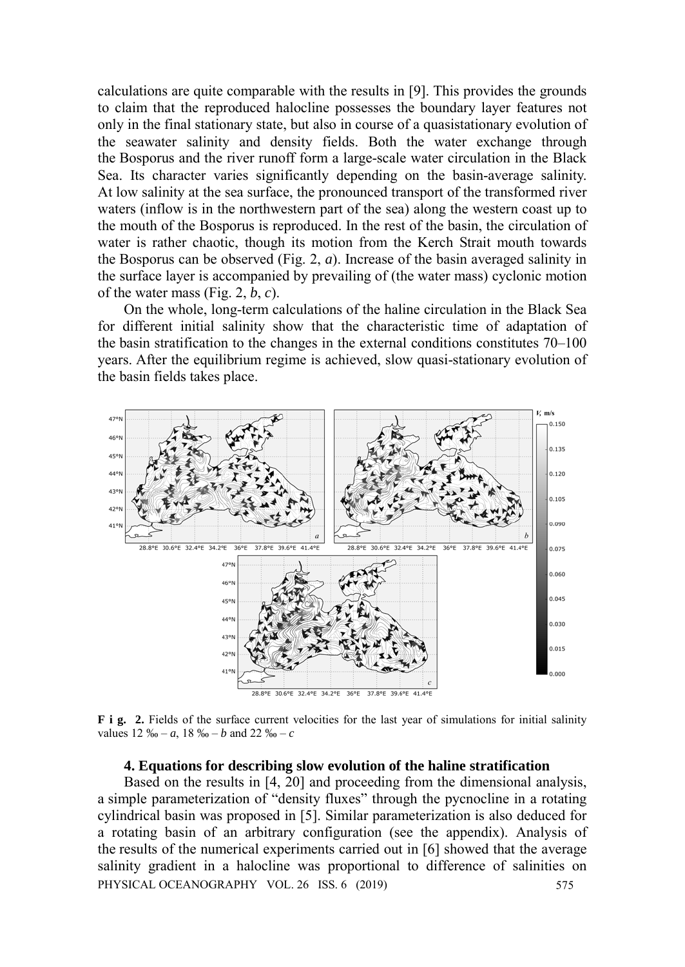calculations are quite comparable with the results in [9]. This provides the grounds to claim that the reproduced halocline possesses the boundary layer features not only in the final stationary state, but also in course of a quasistationary evolution of the seawater salinity and density fields. Both the water exchange through the Bosporus and the river runoff form a large-scale water circulation in the Black Sea. Its character varies significantly depending on the basin-average salinity. At low salinity at the sea surface, the pronounced transport of the transformed river waters (inflow is in the northwestern part of the sea) along the western coast up to the mouth of the Bosporus is reproduced. In the rest of the basin, the circulation of water is rather chaotic, though its motion from the Kerch Strait mouth towards the Bosporus can be observed (Fig. 2, *a*). Increase of the basin averaged salinity in the surface layer is accompanied by prevailing of (the water mass) cyclonic motion of the water mass (Fig. 2, *b*, *c*).

On the whole, long-term calculations of the haline circulation in the Black Sea for different initial salinity show that the characteristic time of adaptation of the basin stratification to the changes in the external conditions constitutes 70–100 years. After the equilibrium regime is achieved, slow quasi-stationary evolution of the basin fields takes place.



**F i g.** 2. Fields of the surface current velocities for the last year of simulations for initial salinity values  $12\% - a$ ,  $18\% - b$  and  $22\% - c$ 

### **4. Equations for describing slow evolution of the haline stratification**

Based on the results in [4, 20] and proceeding from the dimensional analysis, a simple parameterization of "density fluxes" through the pycnocline in a rotating cylindrical basin was proposed in [5]. Similar parameterization is also deduced for a rotating basin of an arbitrary configuration (see the appendix). Analysis of the results of the numerical experiments carried out in [6] showed that the average salinity gradient in a halocline was proportional to difference of salinities on PHYSICAL OCEANOGRAPHY VOL. 26 ISS. 6 (2019) 575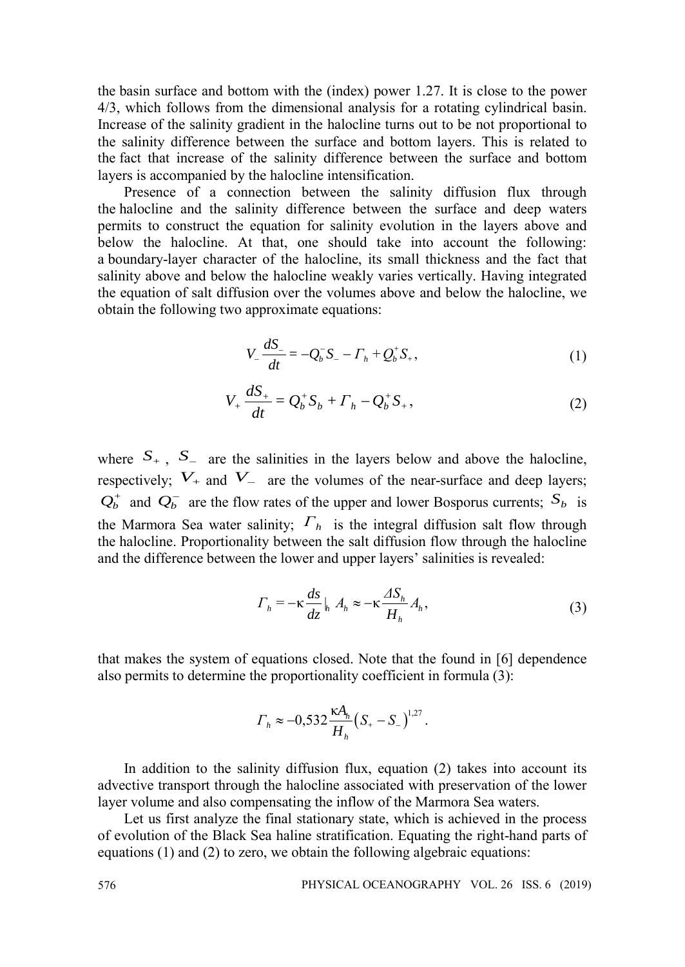the basin surface and bottom with the (index) power 1.27. It is close to the power 4/3, which follows from the dimensional analysis for a rotating cylindrical basin. Increase of the salinity gradient in the halocline turns out to be not proportional to the salinity difference between the surface and bottom layers. This is related to the fact that increase of the salinity difference between the surface and bottom layers is accompanied by the halocline intensification.

Presence of a connection between the salinity diffusion flux through the halocline and the salinity difference between the surface and deep waters permits to construct the equation for salinity evolution in the layers above and below the halocline. At that, one should take into account the following: a boundary-layer character of the halocline, its small thickness and the fact that salinity above and below the halocline weakly varies vertically. Having integrated the equation of salt diffusion over the volumes above and below the halocline, we obtain the following two approximate equations:

$$
V_{-} \frac{dS_{-}}{dt} = -Q_{b}^{-} S_{-} - \Gamma_{h} + Q_{b}^{+} S_{+}, \qquad (1)
$$

$$
V_{+} \frac{dS_{+}}{dt} = Q_{b}^{+} S_{b} + \Gamma_{h} - Q_{b}^{+} S_{+}, \qquad (2)
$$

where  $S_{+}$ ,  $S_{-}$  are the salinities in the layers below and above the halocline, respectively;  $V_+$  and  $V_-$  are the volumes of the near-surface and deep layers;  $Q_b^+$  and  $Q_b^-$  are the flow rates of the upper and lower Bosporus currents;  $S_b$  is the Marmora Sea water salinity;  $\Gamma_h$  is the integral diffusion salt flow through the halocline. Proportionality between the salt diffusion flow through the halocline and the difference between the lower and upper layers' salinities is revealed:

$$
\Gamma_h = -\kappa \frac{ds}{dz} \Big|_h A_h \approx -\kappa \frac{\Delta S_h}{H_h} A_h, \tag{3}
$$

that makes the system of equations closed. Note that the found in [6] dependence also permits to determine the proportionality coefficient in formula (3):

$$
\Gamma_h \approx -0.532 \frac{\kappa A_h}{H_h} \left( S_+ - S_- \right)^{1.27}.
$$

In addition to the salinity diffusion flux, equation (2) takes into account its advective transport through the halocline associated with preservation of the lower layer volume and also compensating the inflow of the Marmora Sea waters.

Let us first analyze the final stationary state, which is achieved in the process of evolution of the Black Sea haline stratification. Equating the right-hand parts of equations (1) and (2) to zero, we obtain the following algebraic equations: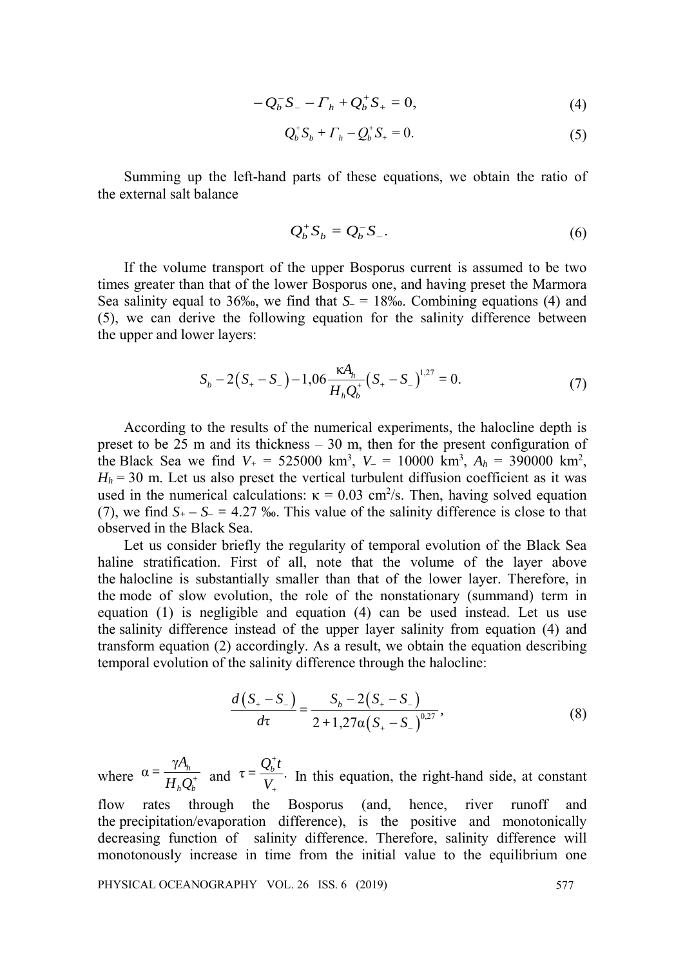$$
-Q_b^- S_- - \Gamma_h + Q_b^+ S_+ = 0, \tag{4}
$$

$$
Q_b^+ S_b + \Gamma_h - Q_b^+ S_+ = 0. \tag{5}
$$

Summing up the left-hand parts of these equations, we obtain the ratio of the external salt balance

$$
Q_b^+ S_b = Q_b^- S_-.
$$

If the volume transport of the upper Bosporus current is assumed to be two times greater than that of the lower Bosporus one, and having preset the Marmora Sea salinity equal to 36‰, we find that *S–* = 18‰. Combining equations (4) and (5), we can derive the following equation for the salinity difference between the upper and lower layers:

$$
S_b - 2(S_+ - S_-) - 1,06 \frac{\kappa A_h}{H_h Q_b^+} (S_+ - S_-)^{1,27} = 0.
$$
 (7)

According to the results of the numerical experiments, the halocline depth is preset to be  $25$  m and its thickness  $-30$  m, then for the present configuration of the Black Sea we find  $V_+ = 525000 \text{ km}^3$ ,  $V_- = 10000 \text{ km}^3$ ,  $A_h = 390000 \text{ km}^2$ ,  $H<sub>h</sub>$  = 30 m. Let us also preset the vertical turbulent diffusion coefficient as it was used in the numerical calculations:  $\kappa = 0.03$  cm<sup>2</sup>/s. Then, having solved equation (7), we find  $S_{+} - S_{-} = 4.27$  ‰. This value of the salinity difference is close to that observed in the Black Sea.

Let us consider briefly the regularity of temporal evolution of the Black Sea haline stratification. First of all, note that the volume of the layer above the halocline is substantially smaller than that of the lower layer. Therefore, in the mode of slow evolution, the role of the nonstationary (summand) term in equation (1) is negligible and equation (4) can be used instead. Let us use the salinity difference instead of the upper layer salinity from equation (4) and transform equation (2) accordingly. As a result, we obtain the equation describing temporal evolution of the salinity difference through the halocline:

$$
\frac{d(S_{+} - S_{-})}{d\tau} = \frac{S_b - 2(S_{+} - S_{-})}{2 + 1,27\alpha(S_{+} - S_{-})^{0,27}},
$$
\n(8)

where  $\alpha = \frac{\gamma A_h}{H_h Q_b^+}$  and  $\tau = \frac{Q_b^+ t}{V_+}.$  $=\frac{Q_b^+ t}{V_+}$ . In this equation, the right-hand side, at constant flow rates through the Bosporus (and, hence, river runoff and the precipitation/evaporation difference), is the positive and monotonically decreasing function of salinity difference. Therefore, salinity difference will monotonously increase in time from the initial value to the equilibrium one

PHYSICAL OCEANOGRAPHY VOL. 26 ISS. 6 (2019) 577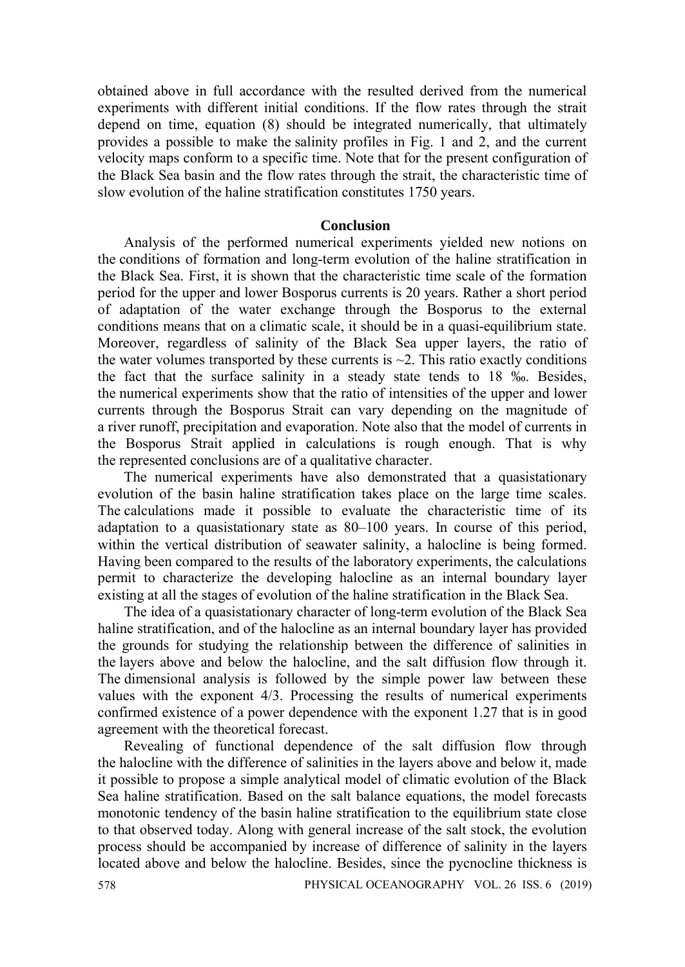obtained above in full accordance with the resulted derived from the numerical experiments with different initial conditions. If the flow rates through the strait depend on time, equation (8) should be integrated numerically, that ultimately provides a possible to make the salinity profiles in Fig. 1 and 2, and the current velocity maps conform to a specific time. Note that for the present configuration of the Black Sea basin and the flow rates through the strait, the characteristic time of slow evolution of the haline stratification constitutes 1750 years.

### **Conclusion**

Analysis of the performed numerical experiments yielded new notions on the conditions of formation and long-term evolution of the haline stratification in the Black Sea. First, it is shown that the characteristic time scale of the formation period for the upper and lower Bosporus currents is 20 years. Rather a short period of adaptation of the water exchange through the Bosporus to the external conditions means that on a climatic scale, it should be in a quasi-equilibrium state. Moreover, regardless of salinity of the Black Sea upper layers, the ratio of the water volumes transported by these currents is  $\sim$ 2. This ratio exactly conditions the fact that the surface salinity in a steady state tends to 18 ‰. Besides, the numerical experiments show that the ratio of intensities of the upper and lower currents through the Bosporus Strait can vary depending on the magnitude of a river runoff, precipitation and evaporation. Note also that the model of currents in the Bosporus Strait applied in calculations is rough enough. That is why the represented conclusions are of a qualitative character.

The numerical experiments have also demonstrated that a quasistationary evolution of the basin haline stratification takes place on the large time scales. The calculations made it possible to evaluate the characteristic time of its adaptation to a quasistationary state as 80–100 years. In course of this period, within the vertical distribution of seawater salinity, a halocline is being formed. Having been compared to the results of the laboratory experiments, the calculations permit to characterize the developing halocline as an internal boundary layer existing at all the stages of evolution of the haline stratification in the Black Sea.

The idea of a quasistationary character of long-term evolution of the Black Sea haline stratification, and of the halocline as an internal boundary layer has provided the grounds for studying the relationship between the difference of salinities in the layers above and below the halocline, and the salt diffusion flow through it. The dimensional analysis is followed by the simple power law between these values with the exponent 4/3. Processing the results of numerical experiments confirmed existence of a power dependence with the exponent 1.27 that is in good agreement with the theoretical forecast.

Revealing of functional dependence of the salt diffusion flow through the halocline with the difference of salinities in the layers above and below it, made it possible to propose a simple analytical model of climatic evolution of the Black Sea haline stratification. Based on the salt balance equations, the model forecasts monotonic tendency of the basin haline stratification to the equilibrium state close to that observed today. Along with general increase of the salt stock, the evolution process should be accompanied by increase of difference of salinity in the layers located above and below the halocline. Besides, since the pycnocline thickness is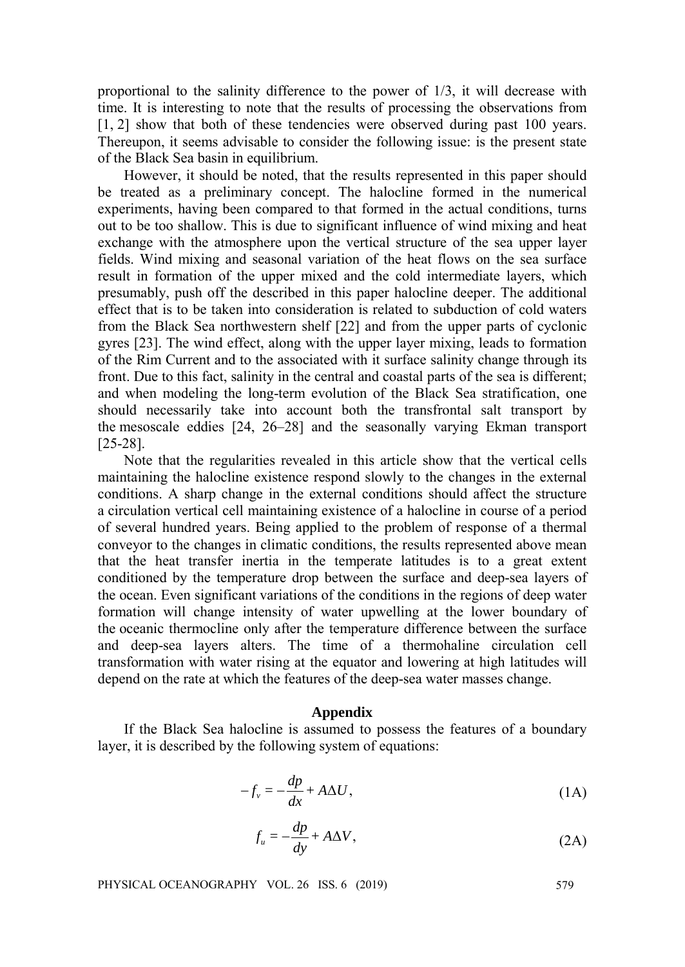proportional to the salinity difference to the power of 1/3, it will decrease with time. It is interesting to note that the results of processing the observations from [1, 2] show that both of these tendencies were observed during past 100 years. Thereupon, it seems advisable to consider the following issue: is the present state of the Black Sea basin in equilibrium.

However, it should be noted, that the results represented in this paper should be treated as a preliminary concept. The halocline formed in the numerical experiments, having been compared to that formed in the actual conditions, turns out to be too shallow. This is due to significant influence of wind mixing and heat exchange with the atmosphere upon the vertical structure of the sea upper layer fields. Wind mixing and seasonal variation of the heat flows on the sea surface result in formation of the upper mixed and the cold intermediate layers, which presumably, push off the described in this paper halocline deeper. The additional effect that is to be taken into consideration is related to subduction of cold waters from the Black Sea northwestern shelf [22] and from the upper parts of cyclonic gyres [23]. The wind effect, along with the upper layer mixing, leads to formation of the Rim Current and to the associated with it surface salinity change through its front. Due to this fact, salinity in the central and coastal parts of the sea is different; and when modeling the long-term evolution of the Black Sea stratification, one should necessarily take into account both the transfrontal salt transport by the mesoscale eddies [24, 26–28] and the seasonally varying Ekman transport [25-28].

Note that the regularities revealed in this article show that the vertical cells maintaining the halocline existence respond slowly to the changes in the external conditions. A sharp change in the external conditions should affect the structure a circulation vertical cell maintaining existence of a halocline in course of a period of several hundred years. Being applied to the problem of response of a thermal conveyor to the changes in climatic conditions, the results represented above mean that the heat transfer inertia in the temperate latitudes is to a great extent conditioned by the temperature drop between the surface and deep-sea layers of the ocean. Even significant variations of the conditions in the regions of deep water formation will change intensity of water upwelling at the lower boundary of the oceanic thermocline only after the temperature difference between the surface and deep-sea layers alters. The time of a thermohaline circulation cell transformation with water rising at the equator and lowering at high latitudes will depend on the rate at which the features of the deep-sea water masses change.

#### **Appendix**

If the Black Sea halocline is assumed to possess the features of a boundary layer, it is described by the following system of equations:

$$
-f_v = -\frac{dp}{dx} + A\Delta U,\tag{1A}
$$

$$
f_u = -\frac{dp}{dy} + A\Delta V,\tag{2A}
$$

PHYSICAL OCEANOGRAPHY VOL. 26 ISS. 6 (2019) 579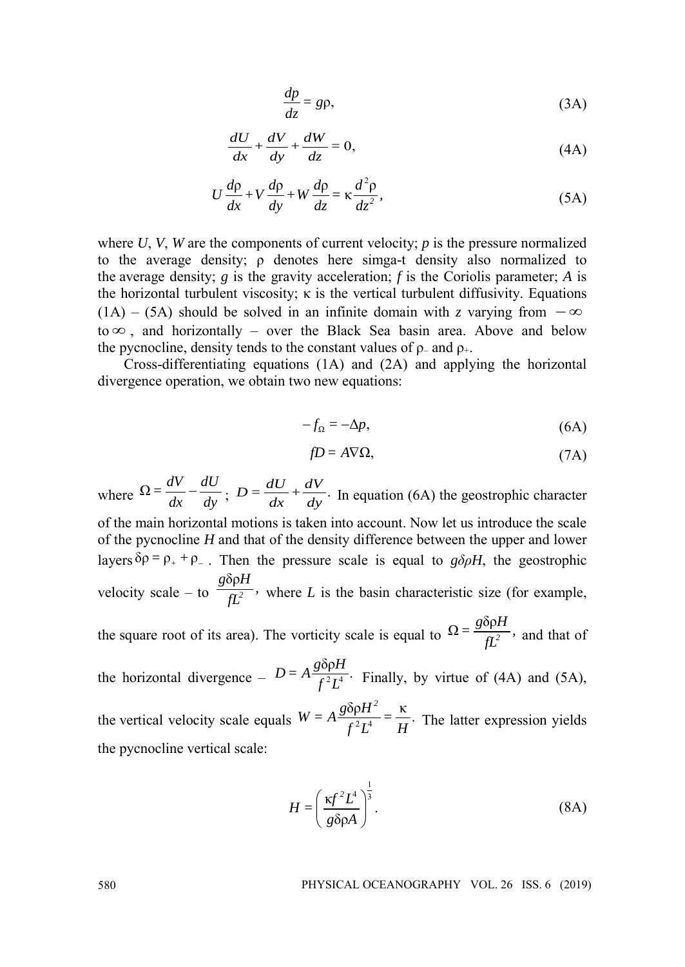$$
\frac{dp}{dz} = gp,
$$
 (3A)

$$
\frac{dU}{dx} + \frac{dV}{dy} + \frac{dW}{dz} = 0,
$$
\n(4A)

$$
U\frac{d\rho}{dx} + V\frac{d\rho}{dy} + W\frac{d\rho}{dz} = \kappa \frac{d^2\rho}{dz^2},
$$
\n(5A)

where  $U$ ,  $V$ ,  $W$  are the components of current velocity;  $p$  is the pressure normalized to the average density; ρ denotes here simga-t density also normalized to the average density; *g* is the gravity acceleration; *f* is the Coriolis parameter; *A* is the horizontal turbulent viscosity;  $\kappa$  is the vertical turbulent diffusivity. Equations (1A) – (5A) should be solved in an infinite domain with *z* varying from  $-\infty$ to  $\infty$ , and horizontally – over the Black Sea basin area. Above and below the pycnocline, density tends to the constant values of  $\rho$ – and  $\rho_{+}$ .

Cross-differentiating equations (1A) and (2A) and applying the horizontal divergence operation, we obtain two new equations:

$$
-f_{\Omega} = -\Delta p,\tag{6A}
$$

$$
fD = A\nabla\Omega,\tag{7A}
$$

where  $\Omega = \frac{dV}{dx} - \frac{dU}{dy}$ ;  $D = \frac{dU}{dx} + \frac{dV}{dy}$ . In equation (6A) the geostrophic character of the main horizontal motions is taken into account. Now let us introduce the scale of the pycnocline *H* and that of the density difference between the upper and lower layers  $\delta \rho = \rho_+ + \rho_-$ . Then the pressure scale is equal to *g* $\delta \rho H$ , the geostrophic velocity scale – to δρ  $\frac{g\delta\rho H}{fL^2}$ , where *L* is the basin characteristic size (for example, the square root of its area). The vorticity scale is equal to  $\Omega = \frac{g \delta \rho H}{f L^2}$ , and that of the horizontal divergence –  $D = A \frac{g \delta \rho H}{f^2 I^4}$ .  $\overline{f^2L^4}$  Finally, by virtue of (4A) and (5A), the vertical velocity scale equals  $W = A \frac{g \delta \rho H^2}{f^2 I^4} = \frac{\kappa}{H}$ .  $\frac{f^2 L^4}{f^2 L^4} = \frac{F}{H}$ . The latter expression yields

the pycnocline vertical scale:

$$
H = \left(\frac{\kappa f^2 L^4}{g \delta \rho A}\right)^{\frac{1}{3}}.
$$
 (8A)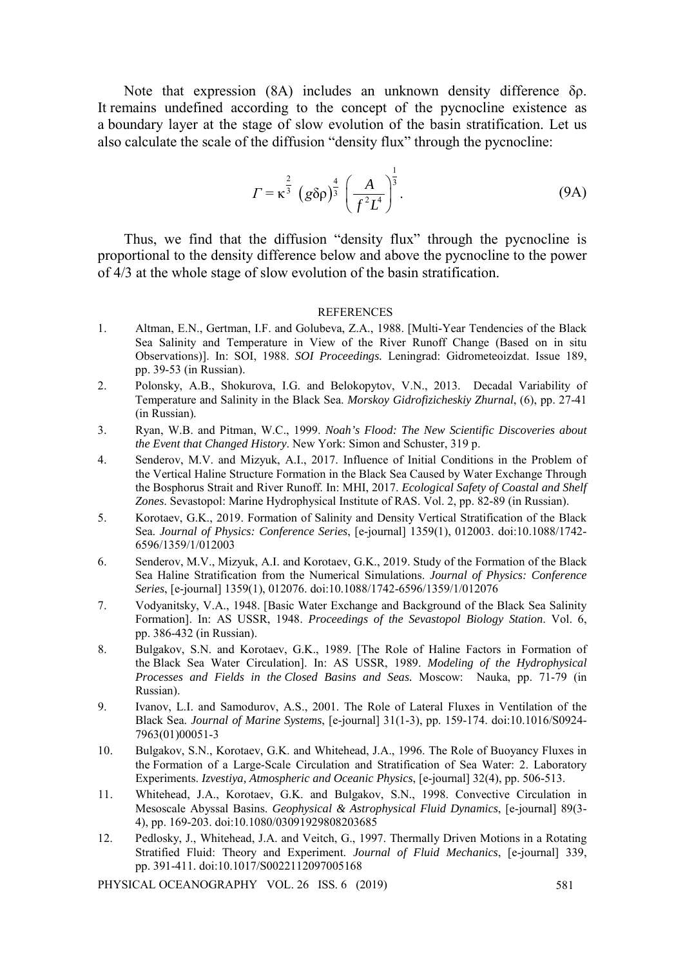Note that expression (8A) includes an unknown density difference δρ. It remains undefined according to the concept of the pycnocline existence as a boundary layer at the stage of slow evolution of the basin stratification. Let us also calculate the scale of the diffusion "density flux" through the pycnocline:

$$
\Gamma = \kappa^{\frac{2}{3}} \left( g \delta \rho \right)^{\frac{4}{3}} \left( \frac{A}{f^2 L^4} \right)^{\frac{1}{3}}.
$$
 (9A)

Thus, we find that the diffusion "density flux" through the pycnocline is proportional to the density difference below and above the pycnocline to the power of 4/3 at the whole stage of slow evolution of the basin stratification.

#### **REFERENCES**

- 1. Altman, E.N., Gertman, I.F. and Golubeva, Z.A., 1988. [Multi-Year Tendencies of the Black Sea Salinity and Temperature in View of the River Runoff Change (Based on in situ Observations)]. In: SOI, 1988. *SOI Proceedings.* Leningrad: Gidrometeoizdat. Issue 189, pp. 39-53 (in Russian).
- 2. Polonsky, A.B., Shokurova, I.G. and Belokopytov, V.N., 2013. Decadal Variability of Temperature and Salinity in the Black Sea. *Morskoy Gidrofizicheskiy Zhurnal*, (6), pp. 27-41 (in Russian).
- 3. Ryan, W.B. and Pitman, W.C., 1999. *Noah's Flood: The New Scientific Discoveries about the Event that Changed History*. New York: Simon and Schuster, 319 p.
- 4. Senderov, M.V. and Mizyuk, A.I., 2017. Influence of Initial Conditions in the Problem of the Vertical Haline Structure Formation in the Black Sea Caused by Water Exchange Through the Bosphorus Strait and River Runoff. In: MHI, 2017. *Ecological Safety of Coastal and Shelf Zones*. Sevastopol: Marine Hydrophysical Institute of RAS. Vol. 2, pp. 82-89 (in Russian).
- 5. Korotaev, G.K., 2019. Formation of Salinity and Density Vertical Stratification of the Black Sea. *Journal of Physics: Conference Series*, [e-journal] 1359(1), 012003. doi:10.1088/1742- 6596/1359/1/012003
- 6. Senderov, M.V., Mizyuk, A.I. and Korotaev, G.K., 2019. Study of the Formation of the Black Sea Haline Stratification from the Numerical Simulations. *Journal of Physics: Conference Series*, [e-journal] 1359(1), 012076. doi:10.1088/1742-6596/1359/1/012076
- 7. Vodyanitsky, V.A., 1948. [Basic Water Exchange and Background of the Black Sea Salinity Formation]. In: AS USSR, 1948. *Proceedings of the Sevastopol Biology Station*. Vol. 6, pp. 386-432 (in Russian).
- 8. Bulgakov, S.N. and Korotaev, G.K., 1989. [The Role of Haline Factors in Formation of the Black Sea Water Circulation]. In: AS USSR, 1989. *Modeling of the Hydrophysical Processes and Fields in the Closed Basins and Seas.* Moscow: Nauka, pp. 71-79 (in Russian).
- 9. Ivanov, L.I. and Samodurov, A.S., 2001. The Role of Lateral Fluxes in Ventilation of the Black Sea. *Journal of Marine Systems*, [e-journal] 31(1-3), pp. 159-174. doi:10.1016/S0924- 7963(01)00051-3
- 10. Bulgakov, S.N., Korotaev, G.K. and Whitehead, J.A., 1996. The Role of Buoyancy Fluxes in the Formation of a Large-Scale Circulation and Stratification of Sea Water: 2. Laboratory Experiments. *Izvestiya, Atmospheric and Oceanic Physics*, [e-journal] 32(4), pp. 506-513.
- 11. Whitehead, J.A., Korotaev, G.K. and Bulgakov, S.N., 1998. Convective Circulation in Mesoscale Abyssal Basins. *[Geophysical & Astrophysical Fluid Dynamics](https://www.tandfonline.com/toc/ggaf20/current)*, [e-journal] 89(3- 4), pp. 169-203. doi:10.1080/03091929808203685
- 12. Pedlosky, J., Whitehead, J.A. and Veitch, G., 1997. Thermally Driven Motions in a Rotating Stratified Fluid: Theory and Experiment. *Journal of Fluid Mechanics*, [e-journal] 339, pp. 391-411. doi:10.1017/S0022112097005168

PHYSICAL OCEANOGRAPHY VOL. 26 ISS. 6 (2019) 581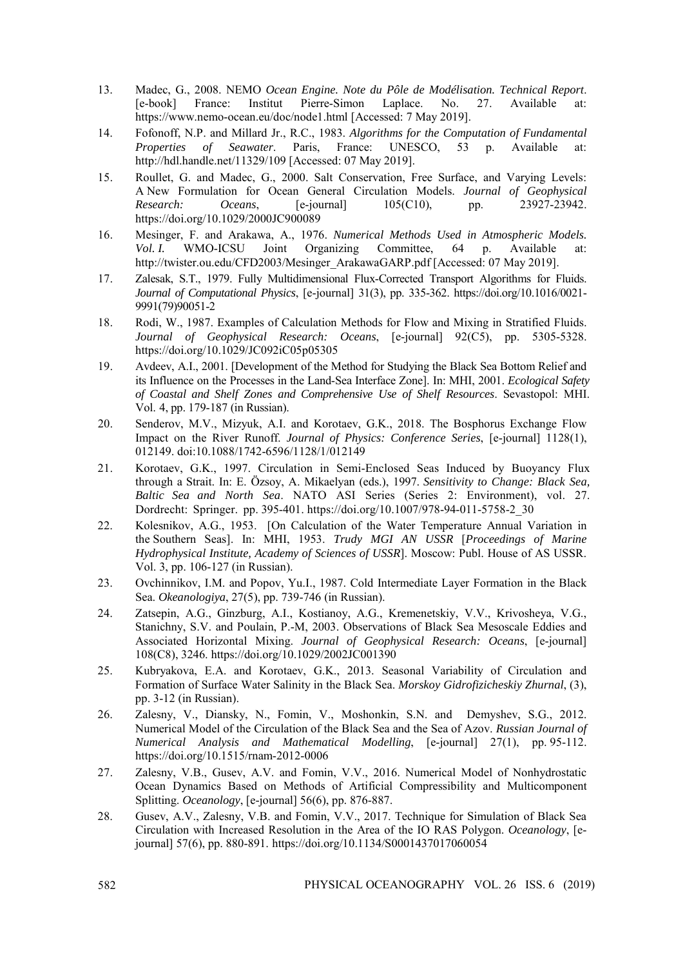- 13. Madec, G., 2008. NEMO *Ocean Engine. Note du Pôle de Modélisation. Technical Report*. [e-book] France: Institut Pierre-Simon Laplace. No. 27. Available at: https://www.nemo-ocean.eu/doc/node1.html [Accessed: 7 May 2019].
- 14. Fofonoff, N.P. and Millard Jr., R.C., 1983. *Algorithms for the Computation of Fundamental Properties of Seawater*. Paris, France: UNESCO, 53 p. Available at: http://hdl.handle.net/11329/109 [Accessed: 07 May 2019].
- 15. Roullet, G. and Madec, G., 2000. Salt Conservation, Free Surface, and Varying Levels: A New Formulation for Ocean General Circulation Models. *Journal of Geophysical Research: Oceans*, [e-journal] 105(C10), pp. 23927-23942. <https://doi.org/10.1029/2000JC900089>
- 16. Mesinger, F. and Arakawa, A., 1976. *Numerical Methods Used in Atmospheric Models. Vol. I.* WMO-ICSU Joint Organizing Committee, 64 p. Available at: http://twister.ou.edu/CFD2003/Mesinger\_ArakawaGARP.pdf [Accessed: 07 May 2019].
- 17. Zalesak, S.T., 1979. Fully Multidimensional Flux-Corrected Transport Algorithms for Fluids. *Journal of Computational Physics*, [e-journal] 31(3), pp. 335-362. [https://doi.org/10.1016/0021-](https://doi.org/10.1016/0021-9991(79)90051-2) [9991\(79\)90051-2](https://doi.org/10.1016/0021-9991(79)90051-2)
- 18. Rodi, W., 1987. Examples of Calculation Methods for Flow and Mixing in Stratified Fluids. *Journal of Geophysical Research: Oceans*, [e-journal] 92(C5), pp. 5305-5328. <https://doi.org/10.1029/JC092iC05p05305>
- 19. Avdeev, A.I., 2001. [Development of the Method for Studying the Black Sea Bottom Relief and its Influence on the Processes in the Land-Sea Interface Zone]. In: MHI, 2001. *Ecological Safety of Coastal and Shelf Zones and Comprehensive Use of Shelf Resources*. Sevastopol: MHI. Vol. 4, pp. 179-187 (in Russian).
- 20. Senderov, M.V., Mizyuk, A.I. and Korotaev, G.K., 2018. The Bosphorus Exchange Flow Impact on the River Runoff. *Journal of Physics: Conference Series*, [e-journal] 1128(1), 012149. doi:10.1088/1742-6596/1128/1/012149
- 21. Korotaev, G.K., 1997. Circulation in Semi-Enclosed Seas Induced by Buoyancy Flux through a Strait. In: E. Özsoy, A. Mikaelyan (eds.), 1997. *Sensitivity to Change: Black Sea, Baltic Sea and North Sea*. NATO ASI Series (Series 2: Environment), vol. 27. Dordrecht: Springer. pp. 395-401. https://doi.org/10.1007/978-94-011-5758-2\_30
- 22. Kolesnikov, A.G., 1953. [On Calculation of the Water Temperature Annual Variation in the Southern Seas]. In: MHI, 1953. *Trudy MGI AN USSR* [*Proceedings of Marine Hydrophysical Institute, Academy of Sciences of USSR*]. Moscow: Publ. House of AS USSR. Vol. 3, pp. 106-127 (in Russian).
- 23. Ovchinnikov, I.M. and Popov, Yu.I., 1987. Cold Intermediate Layer Formation in the Black Sea. *Okeanologiya*, 27(5), pp. 739-746 (in Russian).
- 24. Zatsepin, A.G., Ginzburg, A.I., Kostianoy, A.G., Kremenetskiy, V.V., Krivosheya, V.G., Stanichny, S.V. and Poulain, P.‐M, 2003. Observations of Black Sea Mesoscale Eddies and Associated Horizontal Mixing. *Journal of Geophysical Research: Oceans*, [e-journal] 108(C8), 3246. https://doi.org/10.1029/2002JC001390
- 25. Kubryakova, E.A. and Korotaev, G.K., 2013. Seasonal Variability of Circulation and Formation of Surface Water Salinity in the Black Sea. *Morskoy Gidrofizicheskiy Zhurnal*, (3), pp. 3-12 (in Russian).
- 26. Zalesny, V., Diansky, N., Fomin, V., Moshonkin, S.N. and Demyshev, S.G., 2012. Numerical Model of the Circulation of the Black Sea and the Sea of Azov. *Russian Journal of Numerical Analysis and Mathematical Modelling*, [e-journal] 27(1), pp. 95-112. https://doi.org/10.1515/rnam-2012-0006
- 27. Zalesny, V.B., Gusev, A.V. and Fomin, V.V., 2016. Numerical Model of Nonhydrostatic Ocean Dynamics Based on Methods of Artificial Compressibility and Multicomponent Splitting. *Oceanology*, [e-journal] 56(6), pp. 876-887.
- 28. Gusev, A.V., Zalesny, V.B. and Fomin, V.V., 2017. Technique for Simulation of Black Sea Circulation with Increased Resolution in the Area of the IO RAS Polygon. *Oceanology*, [ejournal] 57(6), pp. 880-891. https://doi.org/10.1134/S0001437017060054